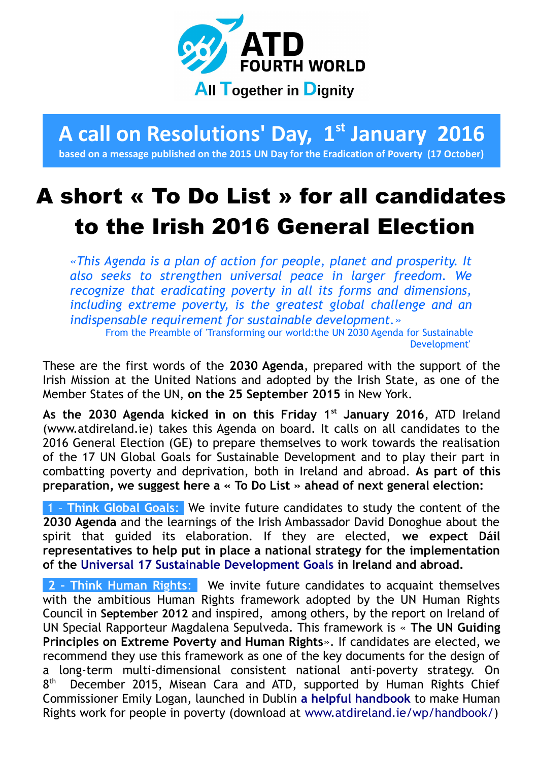

## **A call on Resolutions' Day, 1st January 2016**

**based on a message published on the 2015 UN Day for the Eradication of Poverty (17 October)**

## A short « To Do List » for all candidates to the Irish 2016 General Election

*«This Agenda is a plan of action for people, planet and prosperity. It also seeks to strengthen universal peace in larger freedom. We recognize that eradicating poverty in all its forms and dimensions, including extreme poverty, is the greatest global challenge and an indispensable requirement for sustainable development.»*

From the Preamble of '[Transforming our world:the UN 2030 Agenda for Sustainable](https://sustainabledevelopment.un.org/post2015/transformingourworld) [Development'](https://sustainabledevelopment.un.org/post2015/transformingourworld)

These are the first words of the **2030 Agenda**, prepared with the support of the Irish Mission at the United Nations and adopted by the Irish State, as one of the Member States of the UN, **on the 25 September 2015** in New York.

**As the 2030 Agenda kicked in on this Friday 1st January 2016**, ATD Ireland (www.atdireland.ie) takes this Agenda on board. It calls on all candidates to the 2016 General Election (GE) to prepare themselves to work towards the realisation of the 17 UN Global Goals for Sustainable Development and to play their part in combatting poverty and deprivation, both in Ireland and abroad. **As part of this preparation, we suggest here a « To Do List » ahead of next general election:**

 1 – **Think Global Goals**: We invite future candidates to study the content of the **2030 Agenda** and the learnings of the Irish Ambassador David Donoghue about the spirit that guided its elaboration. If they are elected, **we expect Dáil representatives to help put in place a national strategy for the implementation of the [Universal 17 Sustainable Development Goals](http://www.un.org/sustainabledevelopment/sustainable-development-goals/) in Ireland and abroad.**

**2 - Think Human Rights:** We invite future candidates to acquaint themselves with the ambitious Human Rights framework adopted by the UN Human Rights Council in **September 2012** and inspired, among others, by the report on Ireland of UN Special Rapporteur Magdalena Sepulveda. This framework is « **The UN Guiding Principles on Extreme Poverty and Human Rights**». If candidates are elected, we recommend they use this framework as one of the key documents for the design of a long-term multi-dimensional consistent national anti-poverty strategy. On  $8<sup>th</sup>$ December 2015, Misean Cara and ATD, supported by Human Rights Chief Commissioner Emily Logan, launched in Dublin **[a helpful handbook](http://www.atdireland.ie/wp/handbook/)** to make Human Rights work for people in poverty (download at [www.atdireland.ie/wp/handbook/\)](http://www.atdireland.ie/wp/handbook/)